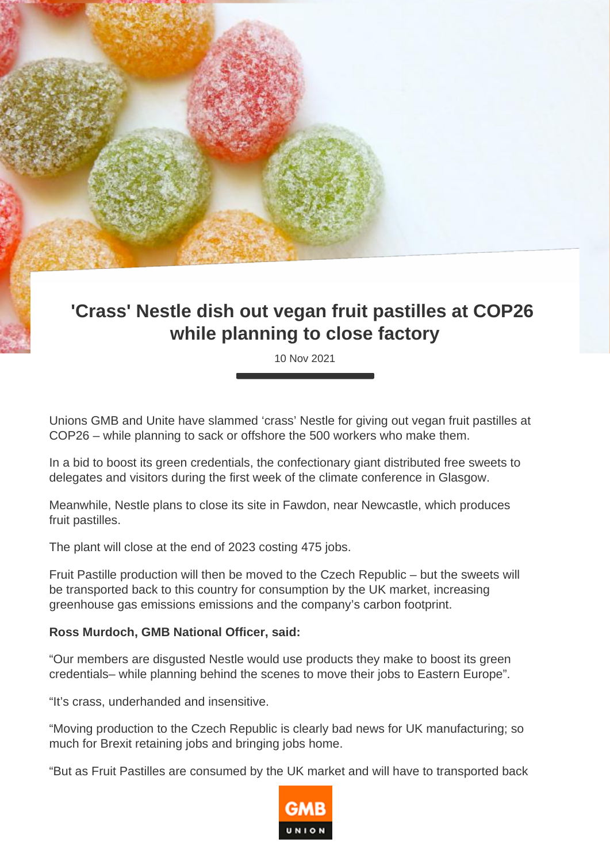## **'Crass' Nestle dish out vegan fruit pastilles at COP26 while planning to close factory**

10 Nov 2021

Unions GMB and Unite have slammed 'crass' Nestle for giving out vegan fruit pastilles at COP26 – while planning to sack or offshore the 500 workers who make them.

In a bid to boost its green credentials, the confectionary giant distributed free sweets to delegates and visitors during the first week of the climate conference in Glasgow.

Meanwhile, Nestle plans to close its site in Fawdon, near Newcastle, which produces fruit pastilles.

The plant will close at the end of 2023 costing 475 jobs.

Fruit Pastille production will then be moved to the Czech Republic – but the sweets will be transported back to this country for consumption by the UK market, increasing greenhouse gas emissions emissions and the company's carbon footprint.

## **Ross Murdoch, GMB National Officer, said:**

"Our members are disgusted Nestle would use products they make to boost its green credentials– while planning behind the scenes to move their jobs to Eastern Europe".

"It's crass, underhanded and insensitive.

"Moving production to the Czech Republic is clearly bad news for UK manufacturing; so much for Brexit retaining jobs and bringing jobs home.

"But as Fruit Pastilles are consumed by the UK market and will have to transported back